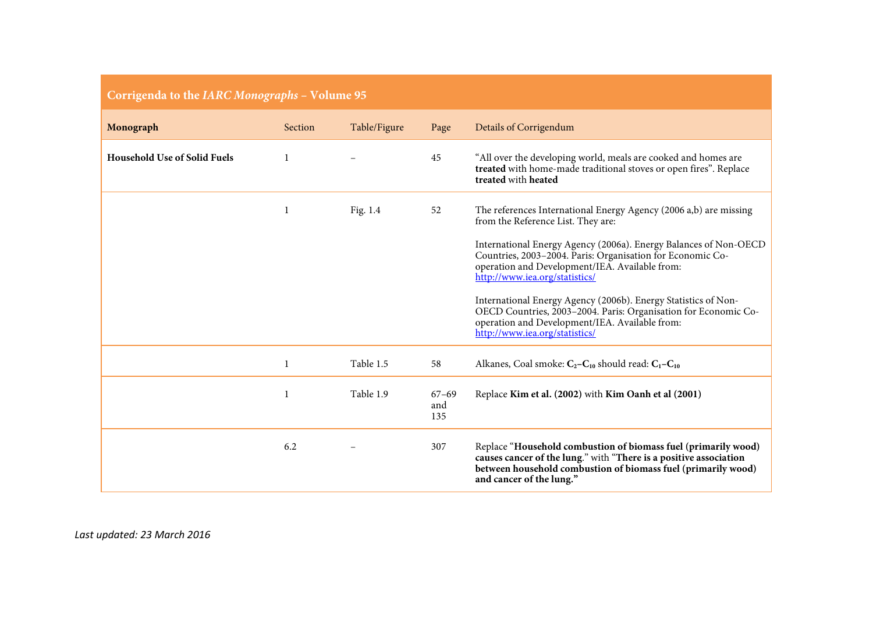|  | Corrigenda to the IARC Monographs - Volume 95 |  |
|--|-----------------------------------------------|--|
|--|-----------------------------------------------|--|

| Monograph                           | Section | Table/Figure | Page                    | Details of Corrigendum                                                                                                                                                                                                                                                                                                                                                                                                                                                                                               |
|-------------------------------------|---------|--------------|-------------------------|----------------------------------------------------------------------------------------------------------------------------------------------------------------------------------------------------------------------------------------------------------------------------------------------------------------------------------------------------------------------------------------------------------------------------------------------------------------------------------------------------------------------|
| <b>Household Use of Solid Fuels</b> |         |              | 45                      | "All over the developing world, meals are cooked and homes are<br>treated with home-made traditional stoves or open fires". Replace<br>treated with heated                                                                                                                                                                                                                                                                                                                                                           |
|                                     |         | Fig. 1.4     | 52                      | The references International Energy Agency (2006 a,b) are missing<br>from the Reference List. They are:<br>International Energy Agency (2006a). Energy Balances of Non-OECD<br>Countries, 2003-2004. Paris: Organisation for Economic Co-<br>operation and Development/IEA. Available from:<br>http://www.iea.org/statistics/<br>International Energy Agency (2006b). Energy Statistics of Non-<br>OECD Countries, 2003-2004. Paris: Organisation for Economic Co-<br>operation and Development/IEA. Available from: |
|                                     | 1       | Table 1.5    | 58                      | http://www.iea.org/statistics/<br>Alkanes, Coal smoke: $C_2 - C_{10}$ should read: $C_1 - C_{10}$                                                                                                                                                                                                                                                                                                                                                                                                                    |
|                                     |         | Table 1.9    | $67 - 69$<br>and<br>135 | Replace Kim et al. (2002) with Kim Oanh et al (2001)                                                                                                                                                                                                                                                                                                                                                                                                                                                                 |
|                                     | 6.2     |              | 307                     | Replace "Household combustion of biomass fuel (primarily wood)<br>causes cancer of the lung." with "There is a positive association<br>between household combustion of biomass fuel (primarily wood)<br>and cancer of the lung."                                                                                                                                                                                                                                                                                     |

*Last updated: 23 March 2016*